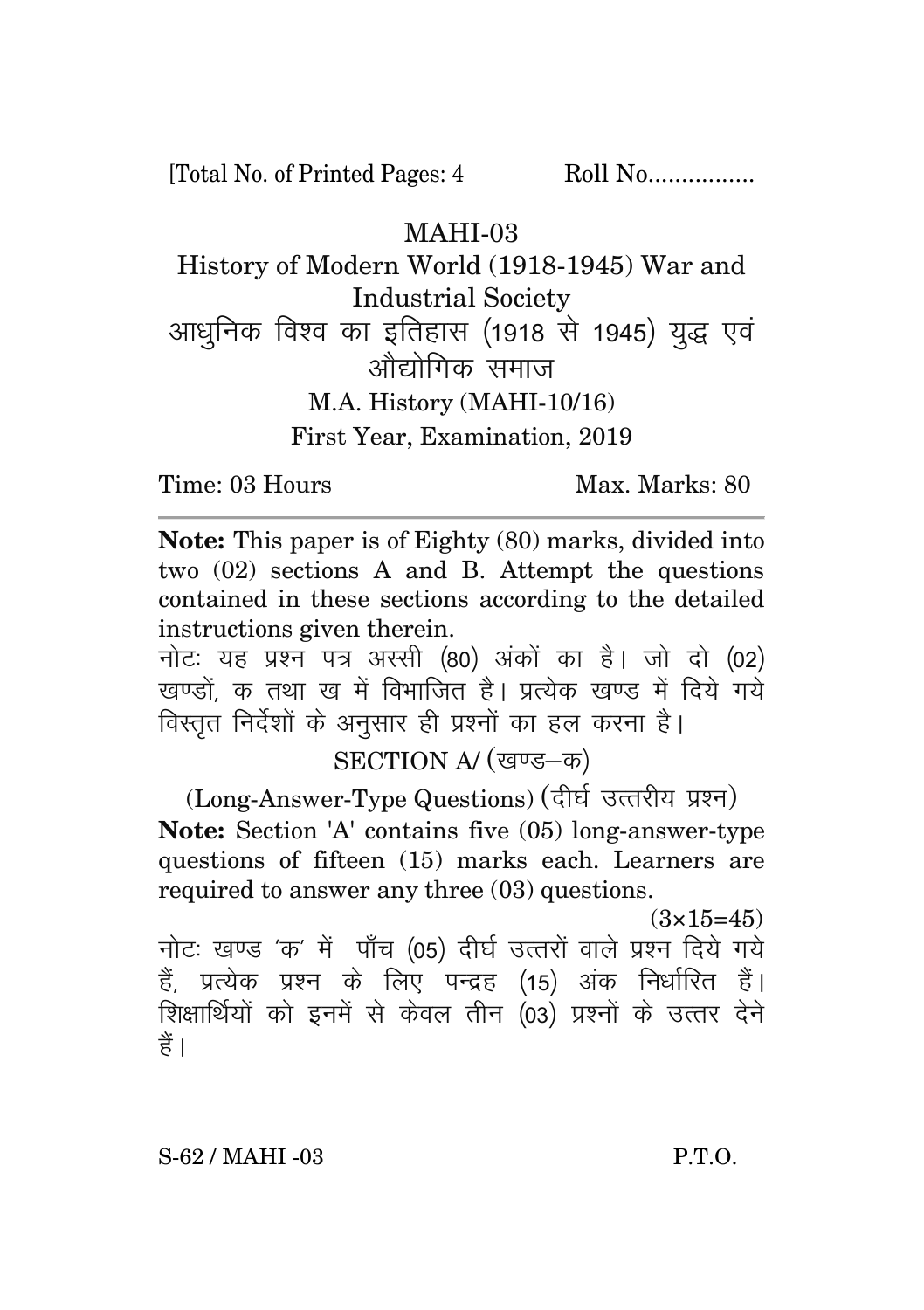[Total No. of Printed Pages: 4 Roll No.................

## MAHI-03

History of Modern World (1918-1945) War and Industrial Society आधनिक विश्व का इतिहास (1918 से 1945) युद्ध एवं ओद्योगिक समाज M.A. History (MAHI-10/16) First Year, Examination, 2019

Time: 03 Hours Max. Marks: 80

**Note:** This paper is of Eighty (80) marks, divided into two (02) sections A and B. Attempt the questions contained in these sections according to the detailed instructions given therein.

नोट: यह प्रश्न पत्र अस्सी (80) अंकों का है। जो दो (02) खण्डों क तथा ख में विभाजित है। प्रत्येक खण्ड में दिये गये विस्तृत निर्देशों के अनुसार ही प्रश्नों का हल करना है।

SECTION A/ (खण्ड-क)

(Long-Answer-Type Questions) (दीर्घ उत्तरीय प्रश्न) **Note:** Section 'A' contains five (05) long-answer-type questions of fifteen (15) marks each. Learners are required to answer any three (03) questions.

 $(3 \times 15 = 45)$ नोट: खण्ड 'क' में पाँच (05) दीर्घ उत्तरों वाले प्रश्न दिये गये हैं, प्रत्येक प्रश्न के लिए पन्द्रह (15) अंक निर्धारित हैं। शिक्षार्थियों को इनमें से केवल तीन (03) प्रश्नों के उत्तर देने हैं ।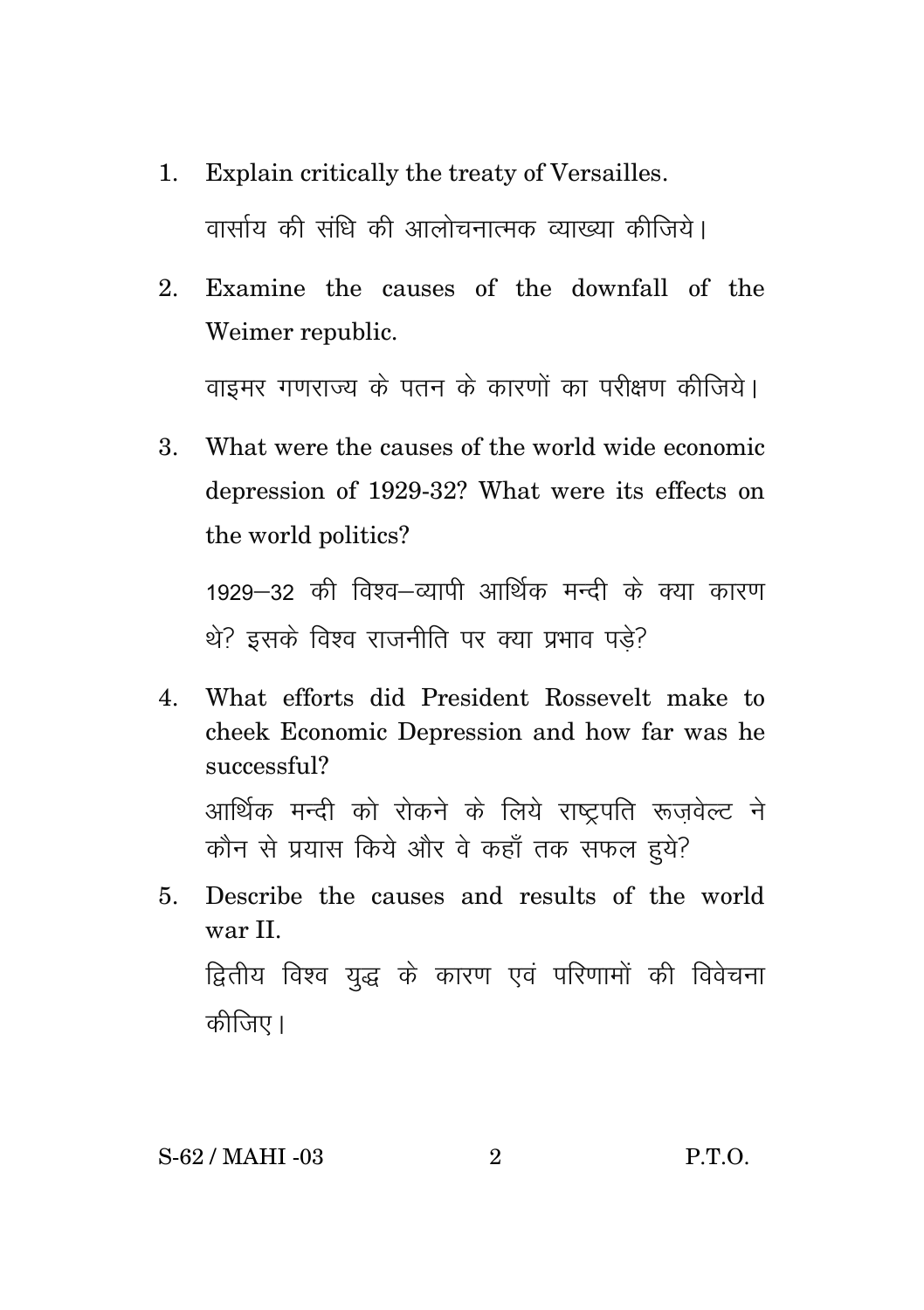- 1. Explain critically the treaty of Versailles. वार्साय की संधि की आलोचनात्मक व्याख्या कीजिये।
- 2. Examine the causes of the downfall of the Weimer republic.

वाइमर गणराज्य के पतन के कारणों का परीक्षण कीजिये।

3. What were the causes of the world wide economic depression of 1929-32? What were its effects on the world politics?

1929-32 की विश्व-व्यापी आर्थिक मन्दी के क्या कारण थे? इसके विश्व राजनीति पर क्या प्रभाव पडे?

- 4. What efforts did President Rossevelt make to cheek Economic Depression and how far was he successful? आर्थिक मन्दी को रोकने के लिये राष्टपति रूजवेल्ट ने कौन से प्रयास किये और वे कहाँ तक सफल हुये?
- 5. Describe the causes and results of the world war II. द्वितीय विश्व युद्ध के कारण एवं परिणामों की विवेचना कीजिए।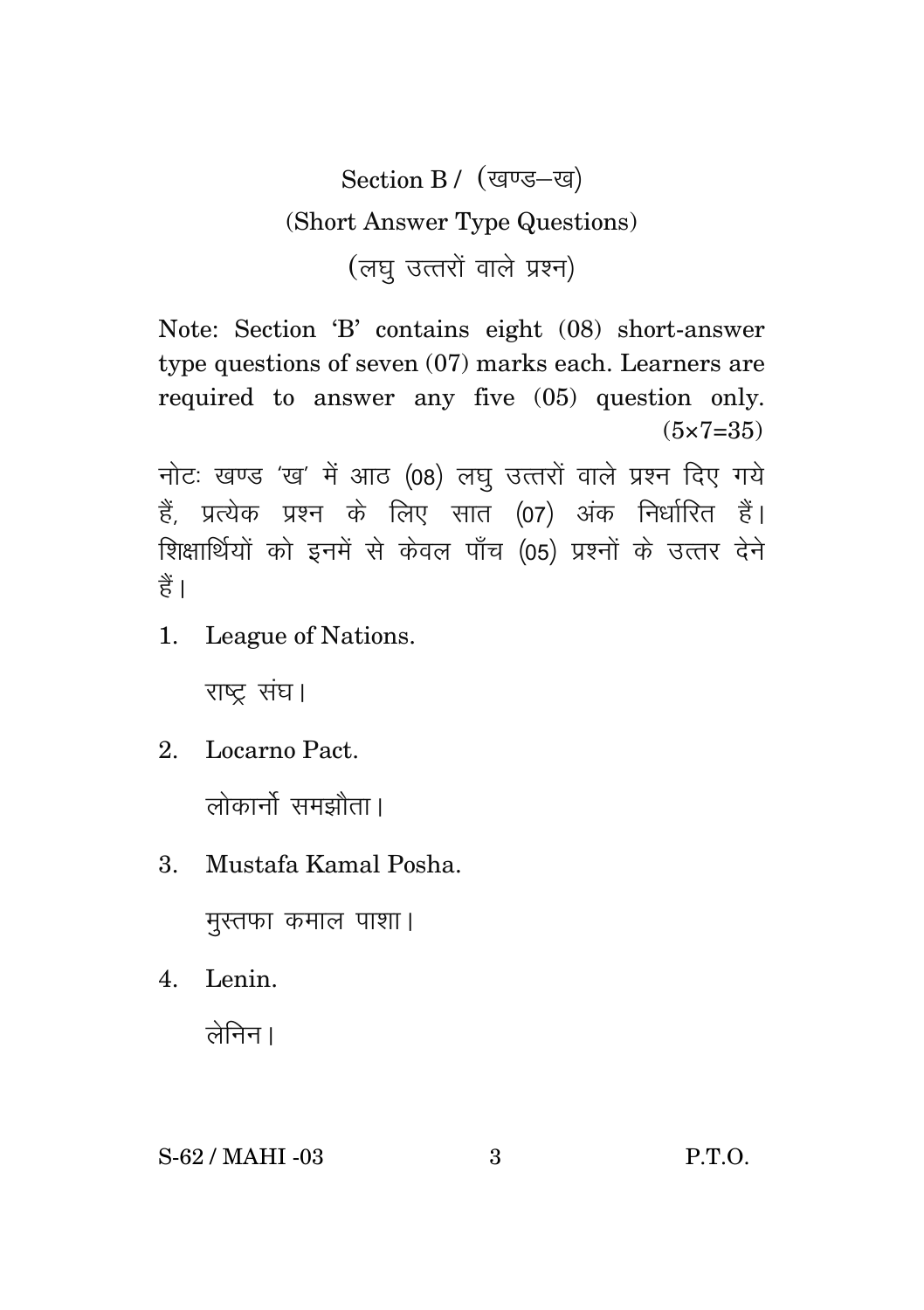Section B / (खण्ड-ख) (Short Answer Type Questions) (लघ उत्तरों वाले प्रश्न)

Note: Section 'B' contains eight (08) short-answer type questions of seven (07) marks each. Learners are required to answer any five (05) question only.  $(5 \times 7 = 35)$ 

नोटः खण्ड 'ख' में आठ (08) लघु उत्तरों वाले प्रश्न दिए गये हैं, प्रत्येक प्रश्न के लिए सात (07) अंक निर्धारित हैं। शिक्षार्थियों को इनमें से केवल पाँच (05) प्रश्नों के उत्तर देने हैं।

1. League of Nations.

राष्ट संघ।

- 2. Locarno Pact. लोकार्नो समझौता।
- 3. Mustafa Kamal Posha.

मुस्तफा कमाल पाशा।

4. Lenin.  $\overrightarrow{a}$ निन।